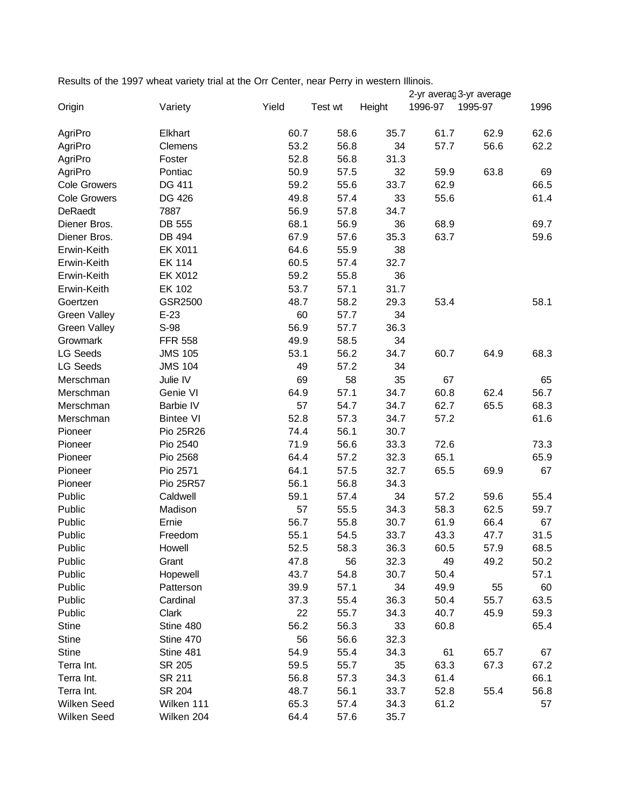Results of the 1997 wheat variety trial at the Orr Center, near Perry in western Illinois.

|                     |                  |       |         |        |         | 2-yr averaç 3-yr average |      |
|---------------------|------------------|-------|---------|--------|---------|--------------------------|------|
| Origin              | Variety          | Yield | Test wt | Height | 1996-97 | 1995-97                  | 1996 |
| AgriPro             | Elkhart          | 60.7  | 58.6    | 35.7   | 61.7    | 62.9                     | 62.6 |
| AgriPro             | Clemens          | 53.2  | 56.8    | 34     | 57.7    | 56.6                     | 62.2 |
| AgriPro             | Foster           | 52.8  | 56.8    | 31.3   |         |                          |      |
| AgriPro             | Pontiac          | 50.9  | 57.5    | 32     | 59.9    | 63.8                     | 69   |
| <b>Cole Growers</b> | DG 411           | 59.2  | 55.6    | 33.7   | 62.9    |                          | 66.5 |
| <b>Cole Growers</b> | DG 426           | 49.8  | 57.4    | 33     | 55.6    |                          | 61.4 |
| DeRaedt             | 7887             | 56.9  | 57.8    | 34.7   |         |                          |      |
| Diener Bros.        | DB 555           | 68.1  | 56.9    | 36     | 68.9    |                          | 69.7 |
| Diener Bros.        | DB 494           | 67.9  | 57.6    | 35.3   | 63.7    |                          | 59.6 |
| Erwin-Keith         | <b>EK X011</b>   | 64.6  | 55.9    | 38     |         |                          |      |
| Erwin-Keith         | <b>EK 114</b>    | 60.5  | 57.4    | 32.7   |         |                          |      |
| Erwin-Keith         | <b>EK X012</b>   | 59.2  | 55.8    | 36     |         |                          |      |
| Erwin-Keith         | <b>EK 102</b>    | 53.7  | 57.1    | 31.7   |         |                          |      |
| Goertzen            | GSR2500          | 48.7  | 58.2    | 29.3   | 53.4    |                          | 58.1 |
| <b>Green Valley</b> | $E-23$           | 60    | 57.7    | 34     |         |                          |      |
| <b>Green Valley</b> | S-98             | 56.9  | 57.7    | 36.3   |         |                          |      |
| Growmark            | <b>FFR 558</b>   | 49.9  | 58.5    | 34     |         |                          |      |
| <b>LG Seeds</b>     | <b>JMS 105</b>   | 53.1  | 56.2    | 34.7   | 60.7    | 64.9                     | 68.3 |
| <b>LG Seeds</b>     | <b>JMS 104</b>   | 49    | 57.2    | 34     |         |                          |      |
| Merschman           | Julie IV         | 69    | 58      | 35     | 67      |                          | 65   |
| Merschman           | Genie VI         | 64.9  | 57.1    | 34.7   | 60.8    | 62.4                     | 56.7 |
| Merschman           | Barbie IV        | 57    | 54.7    | 34.7   | 62.7    | 65.5                     | 68.3 |
| Merschman           | <b>Bintee VI</b> | 52.8  | 57.3    | 34.7   | 57.2    |                          | 61.6 |
| Pioneer             | Pio 25R26        | 74.4  | 56.1    | 30.7   |         |                          |      |
| Pioneer             | Pio 2540         | 71.9  | 56.6    | 33.3   | 72.6    |                          | 73.3 |
| Pioneer             | Pio 2568         | 64.4  | 57.2    | 32.3   | 65.1    |                          | 65.9 |
| Pioneer             | Pio 2571         | 64.1  | 57.5    | 32.7   | 65.5    | 69.9                     | 67   |
| Pioneer             | Pio 25R57        | 56.1  | 56.8    | 34.3   |         |                          |      |
| Public              | Caldwell         | 59.1  | 57.4    | 34     | 57.2    | 59.6                     | 55.4 |
| Public              | Madison          | 57    | 55.5    | 34.3   | 58.3    | 62.5                     | 59.7 |
| Public              | Ernie            | 56.7  | 55.8    | 30.7   | 61.9    | 66.4                     | 67   |
| Public              | Freedom          | 55.1  | 54.5    | 33.7   | 43.3    | 47.7                     | 31.5 |
| Public              | Howell           | 52.5  | 58.3    | 36.3   | 60.5    | 57.9                     | 68.5 |
| Public              | Grant            | 47.8  | 56      | 32.3   | 49      | 49.2                     | 50.2 |
| Public              | Hopewell         | 43.7  | 54.8    | 30.7   | 50.4    |                          | 57.1 |
| Public              | Patterson        | 39.9  | 57.1    | 34     | 49.9    | 55                       | 60   |
| Public              | Cardinal         | 37.3  | 55.4    | 36.3   | 50.4    | 55.7                     | 63.5 |
| Public              | Clark            | 22    | 55.7    | 34.3   | 40.7    | 45.9                     | 59.3 |
| <b>Stine</b>        | Stine 480        | 56.2  | 56.3    | 33     | 60.8    |                          | 65.4 |
| <b>Stine</b>        | Stine 470        | 56    | 56.6    | 32.3   |         |                          |      |
| <b>Stine</b>        | Stine 481        | 54.9  | 55.4    | 34.3   | 61      | 65.7                     | 67   |
| Terra Int.          | SR 205           | 59.5  | 55.7    | 35     | 63.3    | 67.3                     | 67.2 |
| Terra Int.          | SR 211           | 56.8  | 57.3    | 34.3   | 61.4    |                          | 66.1 |
| Terra Int.          | SR 204           | 48.7  | 56.1    | 33.7   | 52.8    | 55.4                     | 56.8 |
| Wilken Seed         | Wilken 111       | 65.3  | 57.4    | 34.3   | 61.2    |                          | 57   |
| Wilken Seed         | Wilken 204       | 64.4  | 57.6    | 35.7   |         |                          |      |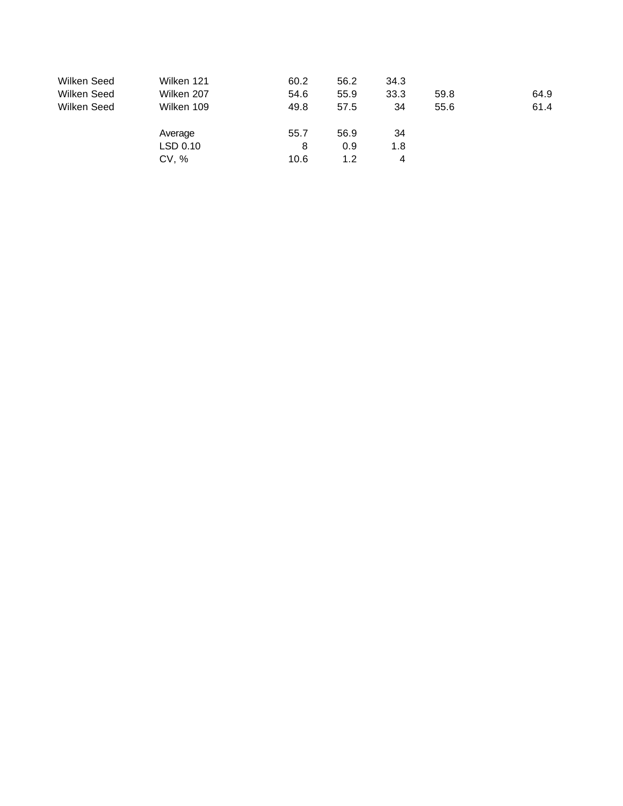| Wilken Seed | Wilken 121 | 60.2 | 56.2 | 34.3 |      |      |
|-------------|------------|------|------|------|------|------|
| Wilken Seed | Wilken 207 | 54.6 | 55.9 | 33.3 | 59.8 | 64.9 |
| Wilken Seed | Wilken 109 | 49.8 | 57.5 | 34   | 55.6 | 61.4 |
|             | Average    | 55.7 | 56.9 | 34   |      |      |
|             | LSD 0.10   | 8    | 0.9  | 1.8  |      |      |
|             | CV, %      | 10.6 | 1.2  | 4    |      |      |